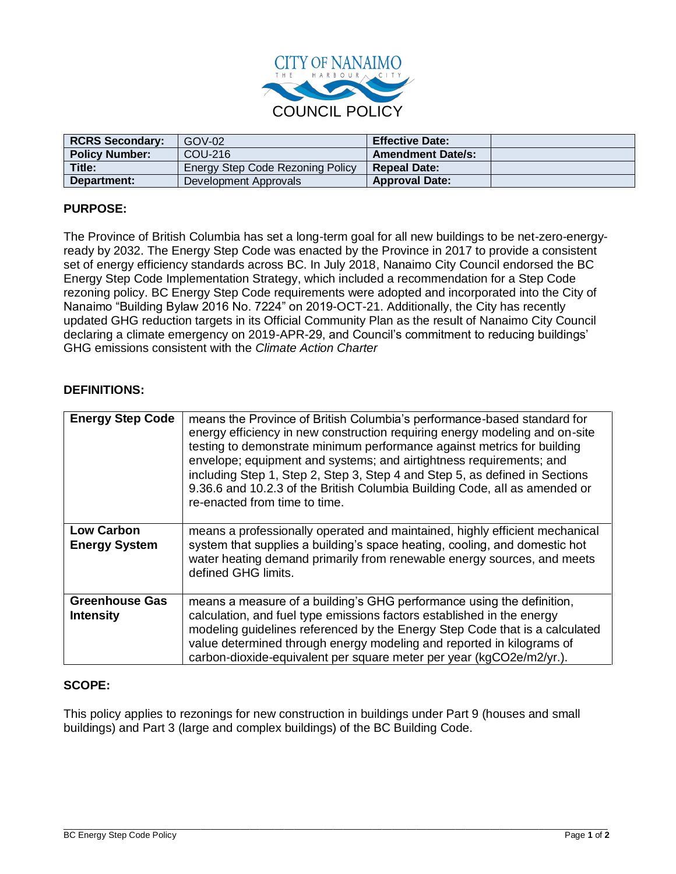

| <b>RCRS Secondary:</b> | $GOV-02$                                | <b>Effective Date:</b>   |  |
|------------------------|-----------------------------------------|--------------------------|--|
| <b>Policy Number:</b>  | COU-216                                 | <b>Amendment Date/s:</b> |  |
| Title:                 | <b>Energy Step Code Rezoning Policy</b> | <b>Repeal Date:</b>      |  |
| Department:            | Development Approvals                   | <b>Approval Date:</b>    |  |

# **PURPOSE:**

The Province of British Columbia has set a long-term goal for all new buildings to be net-zero-energyready by 2032. The Energy Step Code was enacted by the Province in 2017 to provide a consistent set of energy efficiency standards across BC. In July 2018, Nanaimo City Council endorsed the BC Energy Step Code Implementation Strategy, which included a recommendation for a Step Code rezoning policy. BC Energy Step Code requirements were adopted and incorporated into the City of Nanaimo "Building Bylaw 2016 No. 7224" on 2019-OCT-21. Additionally, the City has recently updated GHG reduction targets in its Official Community Plan as the result of Nanaimo City Council declaring a climate emergency on 2019-APR-29, and Council's commitment to reducing buildings' GHG emissions consistent with the *Climate Action Charter*

#### **DEFINITIONS:**

| <b>Energy Step Code</b>                   | means the Province of British Columbia's performance-based standard for<br>energy efficiency in new construction requiring energy modeling and on-site<br>testing to demonstrate minimum performance against metrics for building<br>envelope; equipment and systems; and airtightness requirements; and<br>including Step 1, Step 2, Step 3, Step 4 and Step 5, as defined in Sections<br>9.36.6 and 10.2.3 of the British Columbia Building Code, all as amended or<br>re-enacted from time to time. |
|-------------------------------------------|--------------------------------------------------------------------------------------------------------------------------------------------------------------------------------------------------------------------------------------------------------------------------------------------------------------------------------------------------------------------------------------------------------------------------------------------------------------------------------------------------------|
| <b>Low Carbon</b><br><b>Energy System</b> | means a professionally operated and maintained, highly efficient mechanical<br>system that supplies a building's space heating, cooling, and domestic hot<br>water heating demand primarily from renewable energy sources, and meets<br>defined GHG limits.                                                                                                                                                                                                                                            |
| <b>Greenhouse Gas</b><br><b>Intensity</b> | means a measure of a building's GHG performance using the definition,<br>calculation, and fuel type emissions factors established in the energy<br>modeling guidelines referenced by the Energy Step Code that is a calculated<br>value determined through energy modeling and reported in kilograms of<br>carbon-dioxide-equivalent per square meter per year (kgCO2e/m2/yr.).                                                                                                                        |

#### **SCOPE:**

This policy applies to rezonings for new construction in buildings under Part 9 (houses and small buildings) and Part 3 (large and complex buildings) of the BC Building Code.

\_\_\_\_\_\_\_\_\_\_\_\_\_\_\_\_\_\_\_\_\_\_\_\_\_\_\_\_\_\_\_\_\_\_\_\_\_\_\_\_\_\_\_\_\_\_\_\_\_\_\_\_\_\_\_\_\_\_\_\_\_\_\_\_\_\_\_\_\_\_\_\_\_\_\_\_\_\_\_\_\_\_\_\_\_\_\_\_\_\_\_\_\_\_\_\_\_\_\_\_\_\_\_\_\_\_\_\_\_\_\_